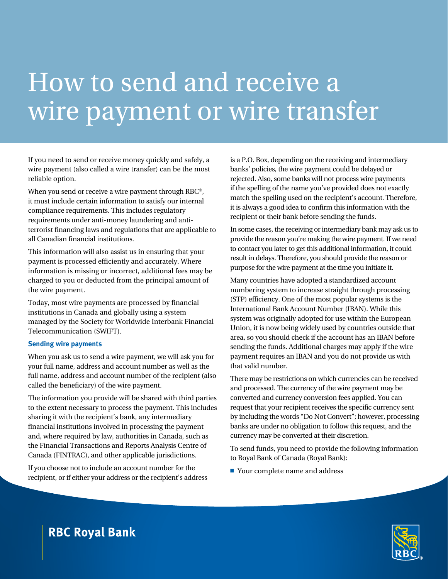# How to send and receive a wire payment or wire transfer

If you need to send or receive money quickly and safely, a wire payment (also called a wire transfer) can be the most reliable option.

When you send or receive a wire payment through RBC®, it must include certain information to satisfy our internal compliance requirements. This includes regulatory requirements under anti-money laundering and antiterrorist financing laws and regulations that are applicable to all Canadian financial institutions.

This information will also assist us in ensuring that your payment is processed efficiently and accurately. Where information is missing or incorrect, additional fees may be charged to you or deducted from the principal amount of the wire payment.

Today, most wire payments are processed by financial institutions in Canada and globally using a system managed by the Society for Worldwide Interbank Financial Telecommunication (SWIFT).

#### **Sending wire payments**

When you ask us to send a wire payment, we will ask you for your full name, address and account number as well as the full name, address and account number of the recipient (also called the beneficiary) of the wire payment.

The information you provide will be shared with third parties to the extent necessary to process the payment. This includes sharing it with the recipient's bank, any intermediary financial institutions involved in processing the payment and, where required by law, authorities in Canada, such as the Financial Transactions and Reports Analysis Centre of Canada (FINTRAC), and other applicable jurisdictions.

If you choose not to include an account number for the recipient, or if either your address or the recipient's address is a P.O. Box, depending on the receiving and intermediary banks' policies, the wire payment could be delayed or rejected. Also, some banks will not process wire payments if the spelling of the name you've provided does not exactly match the spelling used on the recipient's account. Therefore, it is always a good idea to confirm this information with the recipient or their bank before sending the funds.

In some cases, the receiving or intermediary bank may ask us to provide the reason you're making the wire payment. If we need to contact you later to get this additional information, it could result in delays. Therefore, you should provide the reason or purpose for the wire payment at the time you initiate it.

Many countries have adopted a standardized account numbering system to increase straight through processing (STP) efficiency. One of the most popular systems is the International Bank Account Number (IBAN). While this system was originally adopted for use within the European Union, it is now being widely used by countries outside that area, so you should check if the account has an IBAN before sending the funds. Additional charges may apply if the wire payment requires an IBAN and you do not provide us with that valid number.

There may be restrictions on which currencies can be received and processed. The currency of the wire payment may be converted and currency conversion fees applied. You can request that your recipient receives the specific currency sent by including the words "Do Not Convert"; however, processing banks are under no obligation to follow this request, and the currency may be converted at their discretion.

To send funds, you need to provide the following information to Royal Bank of Canada (Royal Bank):

■ Your complete name and address



## **RBC Royal Bank**